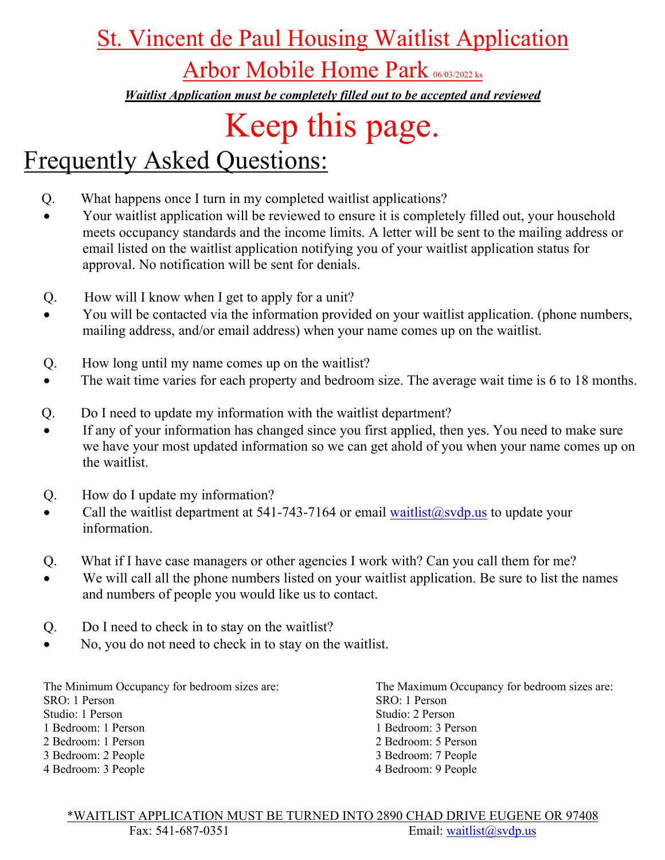#### Arbor Mobile Home Park 06/03/2022 ks

*Waitlist Application must be completely filled out to be accepted and reviewed*

# Keep this page. Frequently Asked Questions:

#### Q. What happens once I turn in my completed waitlist applications?

- Your waitlist application will be reviewed to ensure it is completely filled out, your household meets occupancy standards and the income limits. A letter will be sent to the mailing address or email listed on the waitlist application notifying you of your waitlist application status for approval. No notification will be sent for denials.
- Q. How will I know when I get to apply for a unit?
- You will be contacted via the information provided on your waitlist application. (phone numbers, mailing address, and/or email address) when your name comes up on the waitlist.
- Q. How long until my name comes up on the waitlist?
- The wait time varies for each property and bedroom size. The average wait time is 6 to 18 months.
- Q. Do I need to update my information with the waitlist department?
- If any of your information has changed since you first applied, then yes. You need to make sure we have your most updated information so we can get ahold of you when your name comes up on the waitlist.
- Q. How do I update my information?
- Call the waitlist department at 541-743-7164 or email waitlist@svdp.us to update your information.
- Q. What if I have case managers or other agencies I work with? Can you call them for me?
- We will call all the phone numbers listed on your waitlist application. Be sure to list the names and numbers of people you would like us to contact.
- Q. Do I need to check in to stay on the waitlist?
- No, you do not need to check in to stay on the waitlist.

The Minimum Occupancy for bedroom sizes are: The Maximum Occupancy for bedroom sizes are: SRO: 1 Person SRO: 1 Person Studio: 1 Person Studio: 2 Person Studio: 2 Person 1 Bedroom: 1 Person 1 Bedroom: 3 Person 2 Bedroom: 1 Person 2 Bedroom: 5 Person 3 Bedroom: 2 People 3 Bedroom: 7 People 4 Bedroom: 3 People 4 Bedroom: 9 People

\*WAITLIST APPLICATION MUST BE TURNED INTO 2890 CHAD DRIVE EUGENE OR 97408 Fax: 541-687-0351 Email: waitlist@svdp.us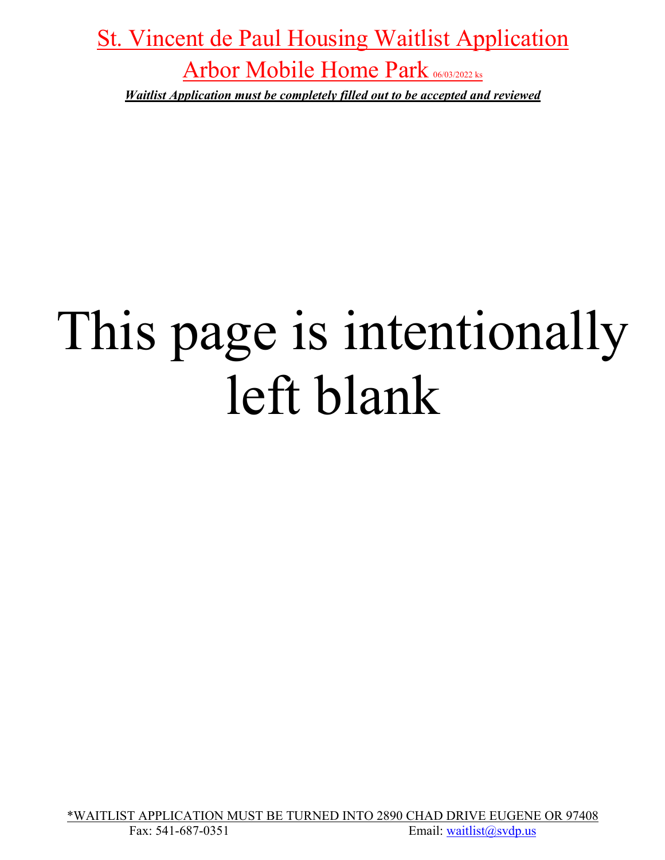Arbor Mobile Home Park 06/03/2022 ks

*Waitlist Application must be completely filled out to be accepted and reviewed*

# This page is intentionally left blank

\*WAITLIST APPLICATION MUST BE TURNED INTO 2890 CHAD DRIVE EUGENE OR 97408 Fax: 541-687-0351 Email: waitlist@svdp.us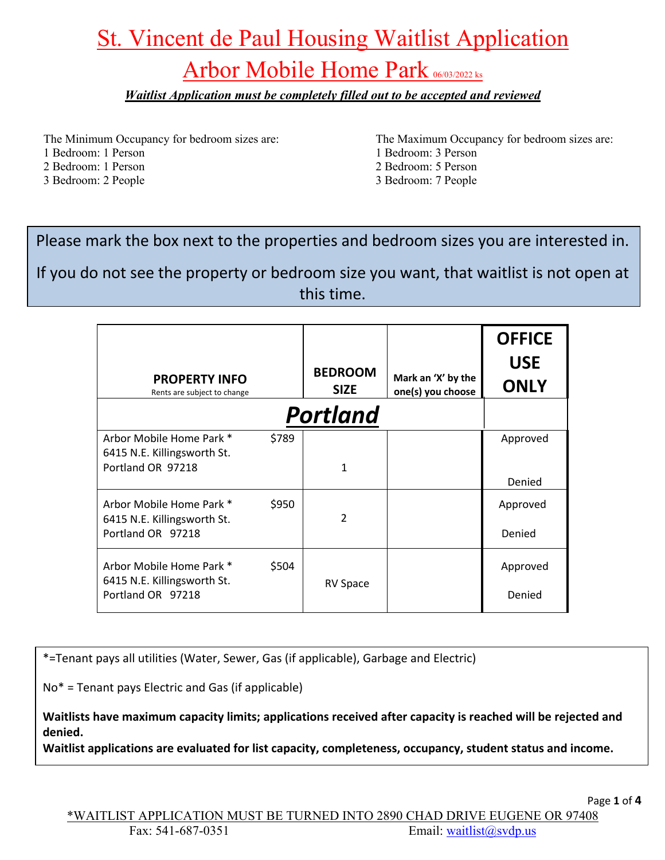#### Arbor Mobile Home Park 06/03/2022 ks

*Waitlist Application must be completely filled out to be accepted and reviewed*

1 Bedroom: 1 Person 1 Bedroom: 3 Person 2 Bedroom: 1 Person 2 Bedroom: 5 Person 3 Bedroom: 2 People 3 Bedroom: 7 People

The Minimum Occupancy for bedroom sizes are: The Maximum Occupancy for bedroom sizes are:

Page **1** of **4**

Please mark the box next to the properties and bedroom sizes you are interested in.

If you do not see the property or bedroom size you want, that waitlist is not open at this time.

|                                                     |       |                 |                                         | <b>OFFICE</b> |
|-----------------------------------------------------|-------|-----------------|-----------------------------------------|---------------|
|                                                     |       | <b>BEDROOM</b>  |                                         | <b>USE</b>    |
| <b>PROPERTY INFO</b><br>Rents are subject to change |       | <b>SIZE</b>     | Mark an 'X' by the<br>one(s) you choose | <b>ONLY</b>   |
|                                                     |       |                 |                                         |               |
| Arbor Mobile Home Park *                            | \$789 |                 |                                         | Approved      |
| 6415 N.E. Killingsworth St.                         |       |                 |                                         |               |
| Portland OR 97218                                   |       | 1               |                                         | Denied        |
| Arbor Mobile Home Park *                            | \$950 |                 |                                         | Approved      |
| 6415 N.E. Killingsworth St.<br>Portland OR 97218    |       | $\mathfrak{p}$  |                                         | Denied        |
| Arbor Mobile Home Park *                            | \$504 |                 |                                         | Approved      |
| 6415 N.E. Killingsworth St.<br>Portland OR 97218    |       | <b>RV Space</b> |                                         | Denied        |

\*=Tenant pays all utilities (Water, Sewer, Gas (if applicable), Garbage and Electric)

No\* = Tenant pays Electric and Gas (if applicable)

**Waitlists have maximum capacity limits; applications received after capacity is reached will be rejected and denied.** 

**Waitlist applications are evaluated for list capacity, completeness, occupancy, student status and income.**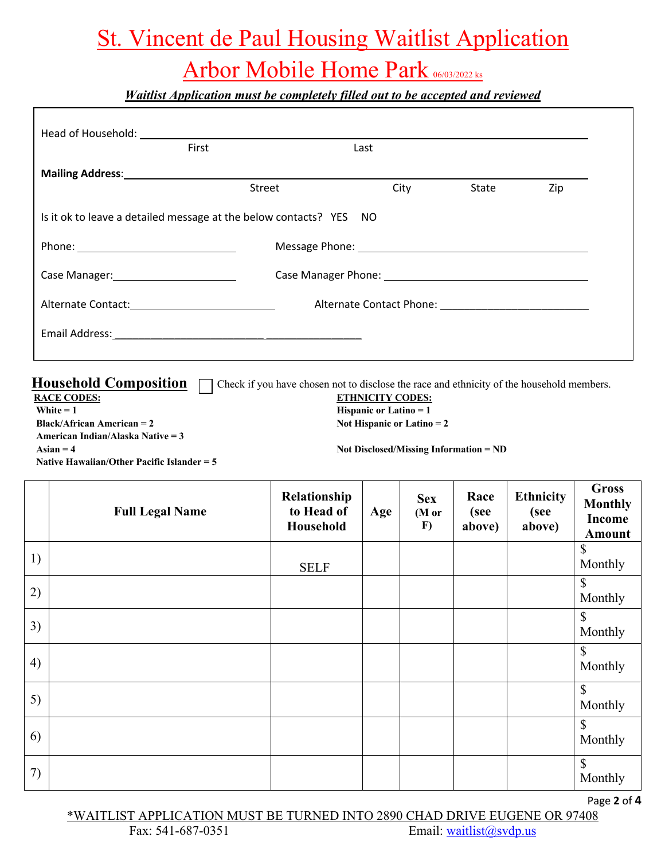#### Arbor Mobile Home Park 06/03/2022 ks

*Waitlist Application must be completely filled out to be accepted and reviewed*

| First                                                                                                         |        | Last        |       |     |
|---------------------------------------------------------------------------------------------------------------|--------|-------------|-------|-----|
| Mailing Address: 1999 Mailing Address: 1999 Mailing Address: 1999 Mailing Address: 1999 Mailing Address: 1999 |        |             |       |     |
|                                                                                                               | Street | <b>City</b> | State | Zip |
| Is it ok to leave a detailed message at the below contacts? YES NO                                            |        |             |       |     |
|                                                                                                               |        |             |       |     |
| Case Manager: 1997                                                                                            |        |             |       |     |
|                                                                                                               |        |             |       |     |
|                                                                                                               |        |             |       |     |
|                                                                                                               |        |             |       |     |

| <b>RACE CODES:</b>                  | <b>ETHNICITY CODES:</b>                  |
|-------------------------------------|------------------------------------------|
| White $= 1$                         | Hispanic or Latino $= 1$                 |
| Black/African American $= 2$        | Not Hispanic or Latino $= 2$             |
| American Indian/Alaska Native $=$ 3 |                                          |
| Asian $=$ 4                         | Not Disclosed/Missing Information $= ND$ |
|                                     |                                          |

 **Native Hawaiian/Other Pacific Islander = 5**

Г

|    | <b>Full Legal Name</b> | Relationship<br>to Head of<br>Household | Age | <b>Sex</b><br>(M or<br>$\bf{F}$ | Race<br>(see<br>above) | Ethnicity<br>(see<br>above) | <b>Gross</b><br><b>Monthly</b><br><b>Income</b><br>Amount |
|----|------------------------|-----------------------------------------|-----|---------------------------------|------------------------|-----------------------------|-----------------------------------------------------------|
| 1) |                        | <b>SELF</b>                             |     |                                 |                        |                             | \$<br>Monthly                                             |
| 2) |                        |                                         |     |                                 |                        |                             | \$<br>Monthly                                             |
| 3) |                        |                                         |     |                                 |                        |                             | \$<br>Monthly                                             |
| 4) |                        |                                         |     |                                 |                        |                             | \$<br>Monthly                                             |
| 5) |                        |                                         |     |                                 |                        |                             | \$<br>Monthly                                             |
| 6) |                        |                                         |     |                                 |                        |                             | $\mathbb{S}$<br>Monthly                                   |
| 7) |                        |                                         |     |                                 |                        |                             | \$<br>Monthly                                             |

Page **2** of **4**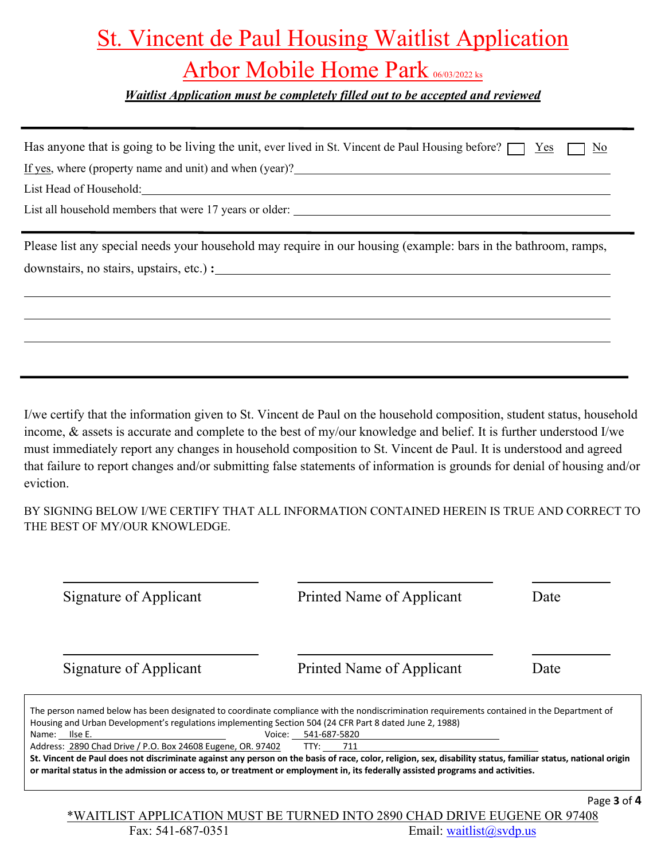Arbor Mobile Home Park 06/03/2022 ks

*Waitlist Application must be completely filled out to be accepted and reviewed*

| Has anyone that is going to be living the unit, ever lived in St. Vincent de Paul Housing before? $\Box$ Yes<br>  No<br>If yes, where (property name and unit) and when (year)?<br><u>If yes</u> , where (property name and unit) and when (year)? |
|----------------------------------------------------------------------------------------------------------------------------------------------------------------------------------------------------------------------------------------------------|
| List Head of Household: New York Channels and School and School and School and School and School and School and School and School and School and School and School and School and School and School and School and School and                      |
| List all household members that were 17 years or older:<br><u>List</u> and household members that were 17 years or older:                                                                                                                          |
| Please list any special needs your household may require in our housing (example: bars in the bathroom, ramps,                                                                                                                                     |
|                                                                                                                                                                                                                                                    |
|                                                                                                                                                                                                                                                    |
|                                                                                                                                                                                                                                                    |
|                                                                                                                                                                                                                                                    |

I/we certify that the information given to St. Vincent de Paul on the household composition, student status, household income, & assets is accurate and complete to the best of my/our knowledge and belief. It is further understood I/we must immediately report any changes in household composition to St. Vincent de Paul. It is understood and agreed that failure to report changes and/or submitting false statements of information is grounds for denial of housing and/or eviction.

BY SIGNING BELOW I/WE CERTIFY THAT ALL INFORMATION CONTAINED HEREIN IS TRUE AND CORRECT TO THE BEST OF MY/OUR KNOWLEDGE.

| Signature of Applicant                                      | Printed Name of Applicant                                                                                                                                                                                                                                                                       | Date        |
|-------------------------------------------------------------|-------------------------------------------------------------------------------------------------------------------------------------------------------------------------------------------------------------------------------------------------------------------------------------------------|-------------|
| Signature of Applicant                                      | Printed Name of Applicant                                                                                                                                                                                                                                                                       | Date        |
|                                                             |                                                                                                                                                                                                                                                                                                 |             |
|                                                             | The person named below has been designated to coordinate compliance with the nondiscrimination requirements contained in the Department of                                                                                                                                                      |             |
| Name: Ilse E.                                               | Housing and Urban Development's regulations implementing Section 504 (24 CFR Part 8 dated June 2, 1988)<br>Voice: 541-687-5820                                                                                                                                                                  |             |
| Address: 2890 Chad Drive / P.O. Box 24608 Eugene, OR. 97402 | TTY: 711                                                                                                                                                                                                                                                                                        |             |
|                                                             | St. Vincent de Paul does not discriminate against any person on the basis of race, color, religion, sex, disability status, familiar status, national origin<br>or marital status in the admission or access to, or treatment or employment in, its federally assisted programs and activities. |             |
|                                                             | *WAITLIST APPLICATION MUST BE TURNED INTO 2890 CHAD DRIVE EUGENE OR 97408                                                                                                                                                                                                                       | Page 3 of 4 |